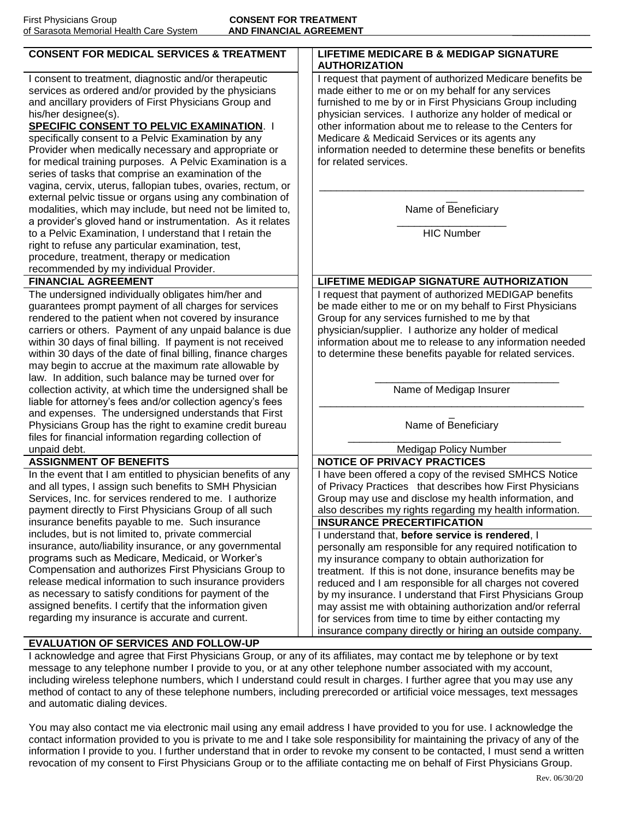| u Salasula Melliuliai Healtii Cale System                                                                                                                                                                                                                                                                                                                                                                                                                                             |                                                                                                                                                                                                                                                                                                                                                                                                                                               |  |  |
|---------------------------------------------------------------------------------------------------------------------------------------------------------------------------------------------------------------------------------------------------------------------------------------------------------------------------------------------------------------------------------------------------------------------------------------------------------------------------------------|-----------------------------------------------------------------------------------------------------------------------------------------------------------------------------------------------------------------------------------------------------------------------------------------------------------------------------------------------------------------------------------------------------------------------------------------------|--|--|
| <b>CONSENT FOR MEDICAL SERVICES &amp; TREATMENT</b>                                                                                                                                                                                                                                                                                                                                                                                                                                   | LIFETIME MEDICARE B & MEDIGAP SIGNATURE<br><b>AUTHORIZATION</b>                                                                                                                                                                                                                                                                                                                                                                               |  |  |
| I consent to treatment, diagnostic and/or therapeutic<br>services as ordered and/or provided by the physicians<br>and ancillary providers of First Physicians Group and<br>his/her designee(s).<br><b>SPECIFIC CONSENT TO PELVIC EXAMINATION. I</b><br>specifically consent to a Pelvic Examination by any<br>Provider when medically necessary and appropriate or<br>for medical training purposes. A Pelvic Examination is a<br>series of tasks that comprise an examination of the | I request that payment of authorized Medicare benefits be<br>made either to me or on my behalf for any services<br>furnished to me by or in First Physicians Group including<br>physician services. I authorize any holder of medical or<br>other information about me to release to the Centers for<br>Medicare & Medicaid Services or its agents any<br>information needed to determine these benefits or benefits<br>for related services. |  |  |
| vagina, cervix, uterus, fallopian tubes, ovaries, rectum, or<br>external pelvic tissue or organs using any combination of<br>modalities, which may include, but need not be limited to,<br>a provider's gloved hand or instrumentation. As it relates                                                                                                                                                                                                                                 | Name of Beneficiary                                                                                                                                                                                                                                                                                                                                                                                                                           |  |  |
| to a Pelvic Examination, I understand that I retain the<br>right to refuse any particular examination, test,<br>procedure, treatment, therapy or medication<br>recommended by my individual Provider.                                                                                                                                                                                                                                                                                 | <b>HIC Number</b>                                                                                                                                                                                                                                                                                                                                                                                                                             |  |  |
| <b>FINANCIAL AGREEMENT</b>                                                                                                                                                                                                                                                                                                                                                                                                                                                            | <b>LIFETIME MEDIGAP SIGNATURE AUTHORIZATION</b>                                                                                                                                                                                                                                                                                                                                                                                               |  |  |
| The undersigned individually obligates him/her and<br>guarantees prompt payment of all charges for services<br>rendered to the patient when not covered by insurance<br>carriers or others. Payment of any unpaid balance is due<br>within 30 days of final billing. If payment is not received<br>within 30 days of the date of final billing, finance charges<br>may begin to accrue at the maximum rate allowable by<br>law. In addition, such balance may be turned over for      | I request that payment of authorized MEDIGAP benefits<br>be made either to me or on my behalf to First Physicians<br>Group for any services furnished to me by that<br>physician/supplier. I authorize any holder of medical<br>information about me to release to any information needed<br>to determine these benefits payable for related services.                                                                                        |  |  |
| collection activity, at which time the undersigned shall be<br>liable for attorney's fees and/or collection agency's fees<br>and expenses. The undersigned understands that First                                                                                                                                                                                                                                                                                                     | Name of Medigap Insurer                                                                                                                                                                                                                                                                                                                                                                                                                       |  |  |
| Physicians Group has the right to examine credit bureau<br>files for financial information regarding collection of                                                                                                                                                                                                                                                                                                                                                                    | Name of Beneficiary                                                                                                                                                                                                                                                                                                                                                                                                                           |  |  |
| unpaid debt.                                                                                                                                                                                                                                                                                                                                                                                                                                                                          | <b>Medigap Policy Number</b>                                                                                                                                                                                                                                                                                                                                                                                                                  |  |  |
| <b>ASSIGNMENT OF BENEFITS</b>                                                                                                                                                                                                                                                                                                                                                                                                                                                         | <b>NOTICE OF PRIVACY PRACTICES</b>                                                                                                                                                                                                                                                                                                                                                                                                            |  |  |
| In the event that I am entitled to physician benefits of any                                                                                                                                                                                                                                                                                                                                                                                                                          | I have been offered a copy of the revised SMHCS Notice                                                                                                                                                                                                                                                                                                                                                                                        |  |  |
| and all types, I assign such benefits to SMH Physician                                                                                                                                                                                                                                                                                                                                                                                                                                | of Privacy Practices that describes how First Physicians                                                                                                                                                                                                                                                                                                                                                                                      |  |  |
| Services, Inc. for services rendered to me. I authorize<br>payment directly to First Physicians Group of all such                                                                                                                                                                                                                                                                                                                                                                     | Group may use and disclose my health information, and                                                                                                                                                                                                                                                                                                                                                                                         |  |  |
| insurance benefits payable to me. Such insurance                                                                                                                                                                                                                                                                                                                                                                                                                                      | also describes my rights regarding my health information.<br><b>INSURANCE PRECERTIFICATION</b>                                                                                                                                                                                                                                                                                                                                                |  |  |
| includes, but is not limited to, private commercial                                                                                                                                                                                                                                                                                                                                                                                                                                   | Lunderstand that, before service is rendered. I                                                                                                                                                                                                                                                                                                                                                                                               |  |  |

I understand that, **before service is rendered**, I personally am responsible for any required notification to my insurance company to obtain authorization for treatment. If this is not done, insurance benefits may be reduced and I am responsible for all charges not covered by my insurance. I understand that First Physicians Group may assist me with obtaining authorization and/or referral for services from time to time by either contacting my insurance company directly or hiring an outside company.

## **EVALUATION OF SERVICES AND FOLLOW-UP**

insurance, auto/liability insurance, or any governmental programs such as Medicare, Medicaid, or Worker's Compensation and authorizes First Physicians Group to release medical information to such insurance providers as necessary to satisfy conditions for payment of the assigned benefits. I certify that the information given regarding my insurance is accurate and current.

I acknowledge and agree that First Physicians Group, or any of its affiliates, may contact me by telephone or by text message to any telephone number I provide to you, or at any other telephone number associated with my account, including wireless telephone numbers, which I understand could result in charges. I further agree that you may use any method of contact to any of these telephone numbers, including prerecorded or artificial voice messages, text messages and automatic dialing devices.

You may also contact me via electronic mail using any email address I have provided to you for use. I acknowledge the contact information provided to you is private to me and I take sole responsibility for maintaining the privacy of any of the information I provide to you. I further understand that in order to revoke my consent to be contacted, I must send a written revocation of my consent to First Physicians Group or to the affiliate contacting me on behalf of First Physicians Group.